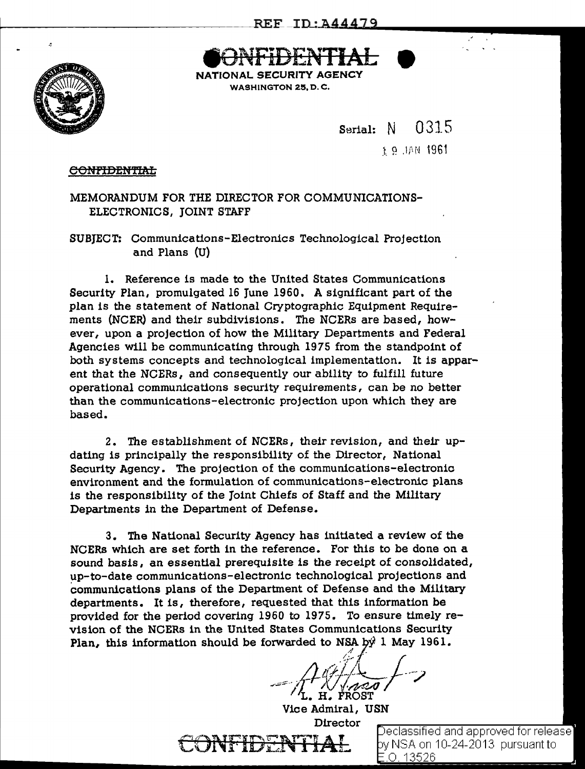·oENTIAL NATIONAL SECURITY AGENCY WASHINGTON 25, D. C.





Serial: N 0315

1961 NAIL 9.3

## C<del>ONFIDENTIAL</del>

MEMORANDUM FOR THE DIRECTOR FOR COMMUNICATIONS-ELECTRONICS, JOINT STAFF

SUBJECT: Communications-Electronics Technological Projection and Plans (U)

l. Reference is made to the United States Communications Security Plan, promulgated 16 June 1960. A significant part of the plan is the statement of National Cryptographic Equipment Requirements (NCER) and their subdivisions. The NCERs are based, however, upon a projection of how the Military Departments and Federal Agencies will be communicating through 1975 from the standpoint of both systems concepts and technological implementation. It is apparent that the NCERs, and consequently our ability to fulfill future operational communications security requirements, can be no better than the communications-electronic projection upon which they are based.

2. The establishment of NCERs, their revision, and their updating is principally the responsibility of the Director, National Security Agency. The projection of the communications-electronic environment and the formulation of communications-electronic plans is the responsibility of the Joint Chiefs of Staff and the Military Departments in the Department of Defense.

3. The National Security Agency has initiated a review of the NCERs which are set forth in the reference. For this to be done on a sound basis, an essential prerequisite is the receipt of consolidated, ~p-to-date communications-electronic technological projections and communications plans of the Department of Defense and the Military departments. It is, therefore, requested that this information be provided for the period covering 1960 to 1975. To ensure timely revision of the NCERs in the United States Communications Security Plan, this information should be forwarded to NSA by 1 May 1961.

 $\frac{1}{4}$  $=$   $\pi$   $\sqrt{N}$   $\sqrt{N}$ H. FROST

Vice Admiral, USN Director

Declassified and approved for release] y NSA on 10-24-2013 pursuant to .0. 13526